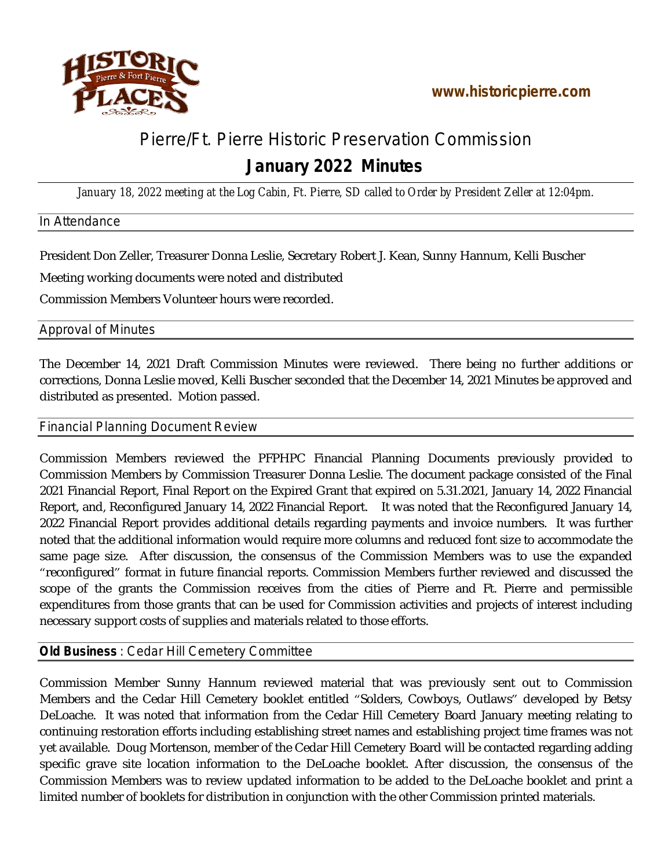

# Pierre/Ft. Pierre Historic Preservation Commission

# **January 2022 Minutes**

*January 18, 2022 meeting at the Log Cabin, Ft. Pierre, SD called to Order by President Zeller at 12:04pm.*

#### In Attendance

President Don Zeller, Treasurer Donna Leslie, Secretary Robert J. Kean, Sunny Hannum, Kelli Buscher

Meeting working documents were noted and distributed

Commission Members Volunteer hours were recorded.

#### Approval of Minutes

The December 14, 2021 Draft Commission Minutes were reviewed. There being no further additions or corrections, Donna Leslie moved, Kelli Buscher seconded that the December 14, 2021 Minutes be approved and distributed as presented. Motion passed.

#### Financial Planning Document Review

Commission Members reviewed the PFPHPC Financial Planning Documents previously provided to Commission Members by Commission Treasurer Donna Leslie. The document package consisted of the Final 2021 Financial Report, Final Report on the Expired Grant that expired on 5.31.2021, January 14, 2022 Financial Report, and, Reconfigured January 14, 2022 Financial Report. It was noted that the Reconfigured January 14, 2022 Financial Report provides additional details regarding payments and invoice numbers. It was further noted that the additional information would require more columns and reduced font size to accommodate the same page size. After discussion, the consensus of the Commission Members was to use the expanded "reconfigured" format in future financial reports. Commission Members further reviewed and discussed the scope of the grants the Commission receives from the cities of Pierre and Ft. Pierre and permissible expenditures from those grants that can be used for Commission activities and projects of interest including necessary support costs of supplies and materials related to those efforts.

## **Old Business** : Cedar Hill Cemetery Committee

Commission Member Sunny Hannum reviewed material that was previously sent out to Commission Members and the Cedar Hill Cemetery booklet entitled "Solders, Cowboys, Outlaws" developed by Betsy DeLoache. It was noted that information from the Cedar Hill Cemetery Board January meeting relating to continuing restoration efforts including establishing street names and establishing project time frames was not yet available. Doug Mortenson, member of the Cedar Hill Cemetery Board will be contacted regarding adding specific grave site location information to the DeLoache booklet. After discussion, the consensus of the Commission Members was to review updated information to be added to the DeLoache booklet and print a limited number of booklets for distribution in conjunction with the other Commission printed materials.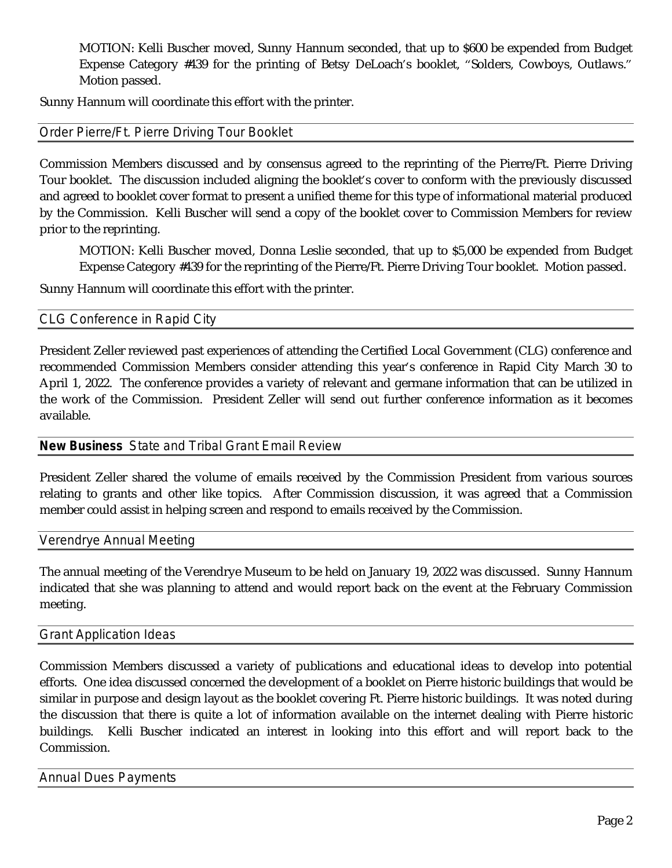MOTION: Kelli Buscher moved, Sunny Hannum seconded, that up to \$600 be expended from Budget Expense Category #439 for the printing of Betsy DeLoach's booklet, "Solders, Cowboys, Outlaws." Motion passed.

Sunny Hannum will coordinate this effort with the printer.

#### Order Pierre/Ft. Pierre Driving Tour Booklet

Commission Members discussed and by consensus agreed to the reprinting of the Pierre/Ft. Pierre Driving Tour booklet. The discussion included aligning the booklet's cover to conform with the previously discussed and agreed to booklet cover format to present a unified theme for this type of informational material produced by the Commission. Kelli Buscher will send a copy of the booklet cover to Commission Members for review prior to the reprinting.

MOTION: Kelli Buscher moved, Donna Leslie seconded, that up to \$5,000 be expended from Budget Expense Category #439 for the reprinting of the Pierre/Ft. Pierre Driving Tour booklet. Motion passed.

Sunny Hannum will coordinate this effort with the printer.

CLG Conference in Rapid City

President Zeller reviewed past experiences of attending the Certified Local Government (CLG) conference and recommended Commission Members consider attending this year's conference in Rapid City March 30 to April 1, 2022. The conference provides a variety of relevant and germane information that can be utilized in the work of the Commission. President Zeller will send out further conference information as it becomes available.

## **New Business** State and Tribal Grant Email Review

President Zeller shared the volume of emails received by the Commission President from various sources relating to grants and other like topics. After Commission discussion, it was agreed that a Commission member could assist in helping screen and respond to emails received by the Commission.

Verendrye Annual Meeting

The annual meeting of the Verendrye Museum to be held on January 19, 2022 was discussed. Sunny Hannum indicated that she was planning to attend and would report back on the event at the February Commission meeting.

#### Grant Application Ideas

Commission Members discussed a variety of publications and educational ideas to develop into potential efforts. One idea discussed concerned the development of a booklet on Pierre historic buildings that would be similar in purpose and design layout as the booklet covering Ft. Pierre historic buildings. It was noted during the discussion that there is quite a lot of information available on the internet dealing with Pierre historic buildings. Kelli Buscher indicated an interest in looking into this effort and will report back to the Commission.

Annual Dues Payments